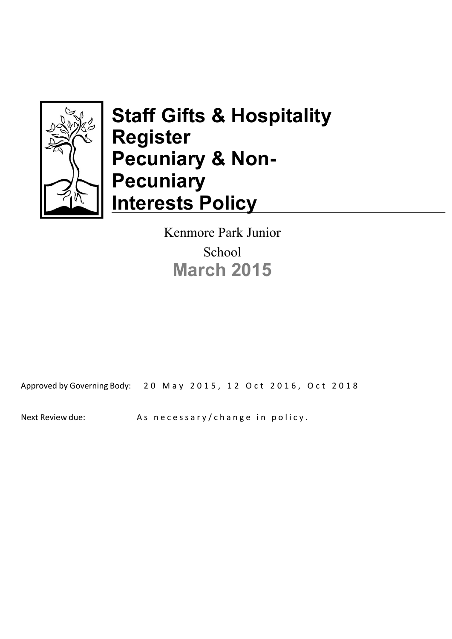

# **Staff Gifts & Hospitality Register Pecuniary & Non-Pecuniary Interests Policy**

Kenmore Park Junior School **March 2015**

Approved by Governing Body: 20 May 2015, 12 Oct 2016, Oct 2018

Next Review due: As necessary/change in policy.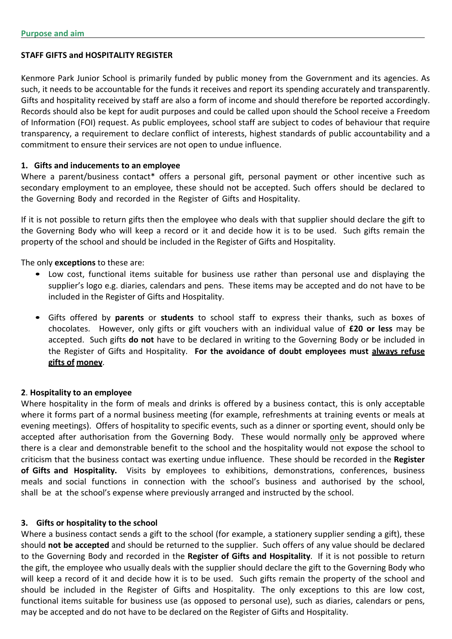#### **STAFF GIFTS and HOSPITALITY REGISTER**

Kenmore Park Junior School is primarily funded by public money from the Government and its agencies. As such, it needs to be accountable for the funds it receives and report its spending accurately and transparently. Gifts and hospitality received by staff are also a form of income and should therefore be reported accordingly. Records should also be kept for audit purposes and could be called upon should the School receive a Freedom of Information (FOI) request. As public employees, school staff are subject to codes of behaviour that require transparency, a requirement to declare conflict of interests, highest standards of public accountability and a commitment to ensure their services are not open to undue influence.

#### **1. Gifts and inducements to an employee**

Where a parent/business contact<sup>\*</sup> offers a personal gift, personal payment or other incentive such as secondary employment to an employee, these should not be accepted. Such offers should be declared to the Governing Body and recorded in the Register of Gifts and Hospitality.

If it is not possible to return gifts then the employee who deals with that supplier should declare the gift to the Governing Body who will keep a record or it and decide how it is to be used. Such gifts remain the property of the school and should be included in the Register of Gifts and Hospitality.

The only **exceptions** to these are:

- Low cost, functional items suitable for business use rather than personal use and displaying the supplier's logo e.g. diaries, calendars and pens. These items may be accepted and do not have to be included in the Register of Gifts and Hospitality.
- Gifts offered by **parents** or **students** to school staff to express their thanks, such as boxes of chocolates. However, only gifts or gift vouchers with an individual value of **£20 or less** may be accepted. Such gifts **do not** have to be declared in writing to the Governing Body or be included in the Register of Gifts and Hospitality. **For the avoidance of doubt employees must always refuse gifts of money**.

#### **2**. **Hospitality to an employee**

Where hospitality in the form of meals and drinks is offered by a business contact, this is only acceptable where it forms part of a normal business meeting (for example, refreshments at training events or meals at evening meetings). Offers of hospitality to specific events, such as a dinner or sporting event, should only be accepted after authorisation from the Governing Body. These would normally only be approved where there is a clear and demonstrable benefit to the school and the hospitality would not expose the school to criticism that the business contact was exerting undue influence. These should be recorded in the Register of Gifts and Hospitality. Visits by employees to exhibitions, demonstrations, conferences, business meals and social functions in connection with the school's business and authorised by the school, shall be at the school's expense where previously arranged and instructed by the school.

#### **3. Gifts or hospitality to the school**

Where a business contact sends a gift to the school (for example, a stationery supplier sending a gift), these should **not be accepted** and should be returned to the supplier. Such offers of any value should be declared to the Governing Body and recorded in the **Register of Gifts and Hospitality**. If it is not possible to return the gift, the employee who usually deals with the supplier should declare the gift to the Governing Body who will keep a record of it and decide how it is to be used. Such gifts remain the property of the school and should be included in the Register of Gifts and Hospitality. The only exceptions to this are low cost, functional items suitable for business use (as opposed to personal use), such as diaries, calendars or pens, may be accepted and do not have to be declared on the Register of Gifts and Hospitality.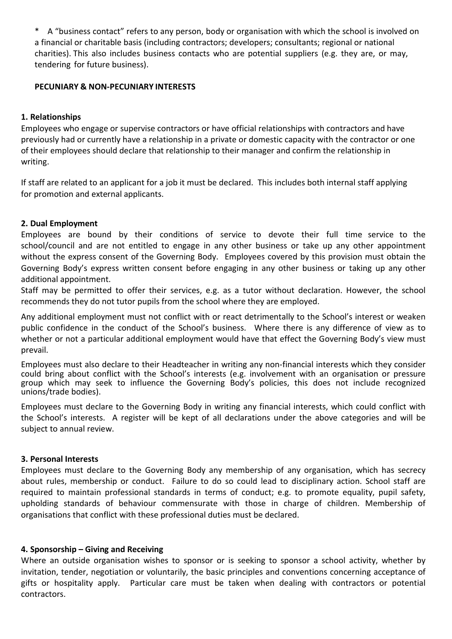\* A "business contact" refers to any person, body or organisation with which the school is involved on a financial or charitable basis (including contractors; developers; consultants; regional or national charities). This also includes business contacts who are potential suppliers (e.g. they are, or may, tendering for future business).

#### **PECUNIARY & NON-PECUNIARY INTERESTS**

#### **1. Relationships**

Employees who engage or supervise contractors or have official relationships with contractors and have previously had or currently have a relationship in a private or domestic capacity with the contractor or one of their employees should declare that relationship to their manager and confirm the relationship in writing.

If staff are related to an applicant for a job it must be declared. This includes both internal staff applying for promotion and external applicants.

#### **2. Dual Employment**

Employees are bound by their conditions of service to devote their full time service to the school/council and are not entitled to engage in any other business or take up any other appointment without the express consent of the Governing Body. Employees covered by this provision must obtain the Governing Body's express written consent before engaging in any other business or taking up any other additional appointment.

Staff may be permitted to offer their services, e.g. as a tutor without declaration. However, the school recommends they do not tutor pupils from the school where they are employed.

Any additional employment must not conflict with or react detrimentally to the School's interest or weaken public confidence in the conduct of the School's business. Where there is any difference of view as to whether or not a particular additional employment would have that effect the Governing Body's view must prevail.

Employees must also declare to their Headteacher in writing any non-financial interests which they consider could bring about conflict with the School's interests (e.g. involvement with an organisation or pressure group which may seek to influence the Governing Body's policies, this does not include recognized unions/trade bodies).

Employees must declare to the Governing Body in writing any financial interests, which could conflict with the School's interests. A register will be kept of all declarations under the above categories and will be subject to annual review.

#### **3. Personal Interests**

Employees must declare to the Governing Body any membership of any organisation, which has secrecy about rules, membership or conduct. Failure to do so could lead to disciplinary action. School staff are required to maintain professional standards in terms of conduct; e.g. to promote equality, pupil safety, upholding standards of behaviour commensurate with those in charge of children. Membership of organisations that conflict with these professional duties must be declared.

#### **4. Sponsorship – Giving and Receiving**

Where an outside organisation wishes to sponsor or is seeking to sponsor a school activity, whether by invitation, tender, negotiation or voluntarily, the basic principles and conventions concerning acceptance of gifts or hospitality apply. Particular care must be taken when dealing with contractors or potential contractors.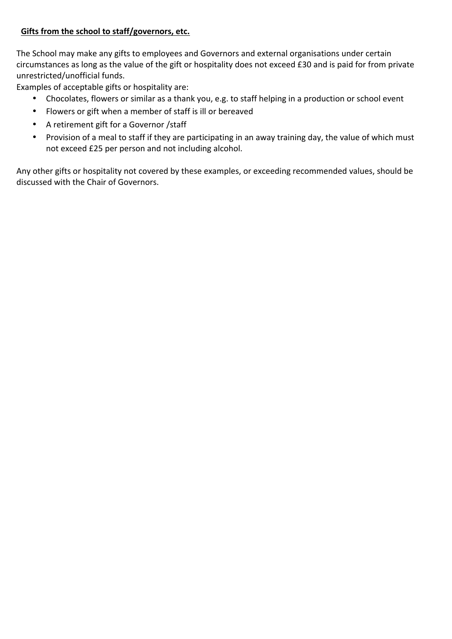## Gifts from the school to staff/governors, etc.

The School may make any gifts to employees and Governors and external organisations under certain circumstances as long as the value of the gift or hospitality does not exceed £30 and is paid for from private unrestricted/unofficial funds.

Examples of acceptable gifts or hospitality are:

- Chocolates, flowers or similar as a thank you, e.g. to staff helping in a production or school event
- Flowers or gift when a member of staff is ill or bereaved
- A retirement gift for a Governor /staff
- Provision of a meal to staff if they are participating in an away training day, the value of which must not exceed £25 per person and not including alcohol.

Any other gifts or hospitality not covered by these examples, or exceeding recommended values, should be discussed with the Chair of Governors.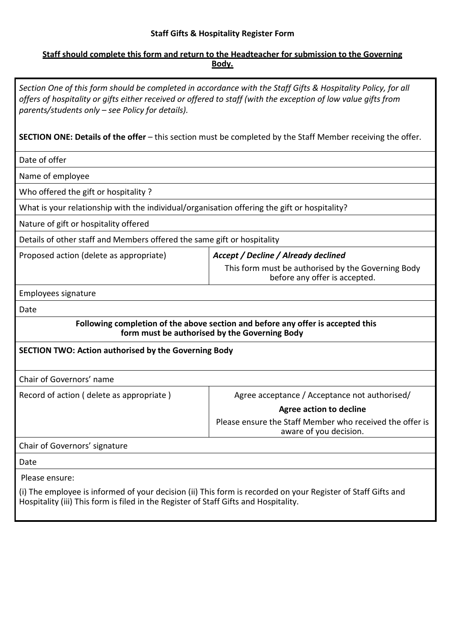# **Staff Gifts & Hospitality Register Form**

## **Staff should complete this form and return to the Headteacher for submission to the Governing Body.**

| Section One of this form should be completed in accordance with the Staff Gifts & Hospitality Policy, for all<br>offers of hospitality or gifts either received or offered to staff (with the exception of low value gifts from<br>parents/students only – see Policy for details). |                                                                                     |
|-------------------------------------------------------------------------------------------------------------------------------------------------------------------------------------------------------------------------------------------------------------------------------------|-------------------------------------------------------------------------------------|
| <b>SECTION ONE: Details of the offer</b> – this section must be completed by the Staff Member receiving the offer.                                                                                                                                                                  |                                                                                     |
| Date of offer                                                                                                                                                                                                                                                                       |                                                                                     |
| Name of employee                                                                                                                                                                                                                                                                    |                                                                                     |
| Who offered the gift or hospitality?                                                                                                                                                                                                                                                |                                                                                     |
| What is your relationship with the individual/organisation offering the gift or hospitality?                                                                                                                                                                                        |                                                                                     |
| Nature of gift or hospitality offered                                                                                                                                                                                                                                               |                                                                                     |
| Details of other staff and Members offered the same gift or hospitality                                                                                                                                                                                                             |                                                                                     |
| Proposed action (delete as appropriate)                                                                                                                                                                                                                                             | Accept / Decline / Already declined                                                 |
|                                                                                                                                                                                                                                                                                     | This form must be authorised by the Governing Body<br>before any offer is accepted. |
| Employees signature                                                                                                                                                                                                                                                                 |                                                                                     |
| Date                                                                                                                                                                                                                                                                                |                                                                                     |
| Following completion of the above section and before any offer is accepted this<br>form must be authorised by the Governing Body                                                                                                                                                    |                                                                                     |
| <b>SECTION TWO: Action authorised by the Governing Body</b>                                                                                                                                                                                                                         |                                                                                     |
| Chair of Governors' name                                                                                                                                                                                                                                                            |                                                                                     |
| Record of action (delete as appropriate)                                                                                                                                                                                                                                            | Agree acceptance / Acceptance not authorised/                                       |
|                                                                                                                                                                                                                                                                                     | <b>Agree action to decline</b>                                                      |
|                                                                                                                                                                                                                                                                                     | Please ensure the Staff Member who received the offer is<br>aware of you decision.  |
| Chair of Governors' signature                                                                                                                                                                                                                                                       |                                                                                     |
| Date                                                                                                                                                                                                                                                                                |                                                                                     |
| Please ensure:                                                                                                                                                                                                                                                                      |                                                                                     |
| (i) The employee is informed of your decision (ii) This form is recorded on your Register of Staff Gifts and<br>Hospitality (iii) This form is filed in the Register of Staff Gifts and Hospitality.                                                                                |                                                                                     |